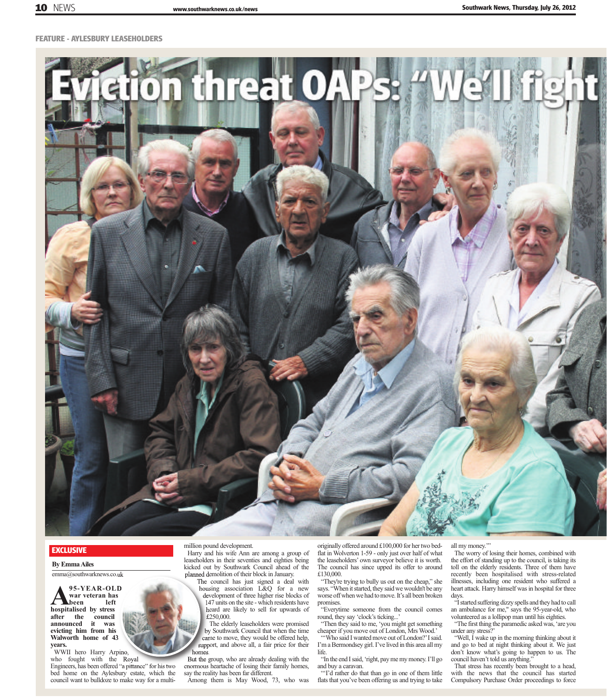**FEATURE - AYLESBURY LEASEHOLDERS**



## **EXCLUSIVE**

**By Emma Ailes** emma@southwarknews.co.uk

**A95-YEAR-OLD hospitalised by stress war veteran has b**een **after** the council<br>announced it was announced **evicting him from his Walworth home of 43**

**years.** 

WWII hero Harry Arpino, who fought with the Royal Engineers, has been offered "a pittance" for his two bed home on the Aylesbury estate, which the council want to bulldoze to make way for a multi-

million pound development.

Harry and his wife Ann are among a group of leaseholders in their seventies and eighties being kicked out by Southwark Council ahead of the planned demolition of their block in January.

The council has just signed a deal with housing association L&Q for a new development of three higher rise blocks of 147 units on the site - which residents have heard are likely to sell for upwards of £250,000.

The elderly leaseholders were promised by Southwark Council that when the time came to move, they would be offered help, support, and above all, a fair price for their homes.

But the group, who are already dealing with the enormous heartache of losing their family homes, say the reality has been far different.

Among them is May Wood, 73, who was

originally offered around £100,000 for her two bedflat in Wolverton 1-59 - only just over half of what the leaseholders' own surveyor believe it is worth. The council has since upped its offer to around £130,000.

"They're trying to bully us out on the cheap," she says. "When it started, they said we wouldn't be any worse off when we had to move. It's all been broken promises.

"Everytime someone from the council comes round, they say 'clock's ticking...

"Then they said to me, 'you might get something cheaper if you move out of London, Mrs Wood.' "Who said I wanted move out of London?' I said.

I'm a Bermondsey girl. I've lived in this area all my life. "In the end I said, 'right, pay me my money. I'll go

and buy a caravan.

"'I'd rather do that than go in one of them little flats that you've been offering us and trying to take all my money.'"

The worry of losing their homes, combined with the effort of standing up to the council, is taking its toll on the elderly residents. Three of them have recently been hospitalised with stress-related illnesses, including one resident who suffered a heart attack. Harry himself was in hospital for three days.

"I started suffering dizzy spells and they had to call an ambulance for me," says the 95-year-old, who volunteered as a lollipop man until his eighties.

"The first thing the paramedic asked was, 'are you under any stress?'

"Well, I wake up in the morning thinking about it and go to bed at night thinking about it. We just don't know what's going to happen to us. The council haven't told us anything."

That stress has recently been brought to a head, with the news that the council has started Compulsory Purchase Order proceedings to force